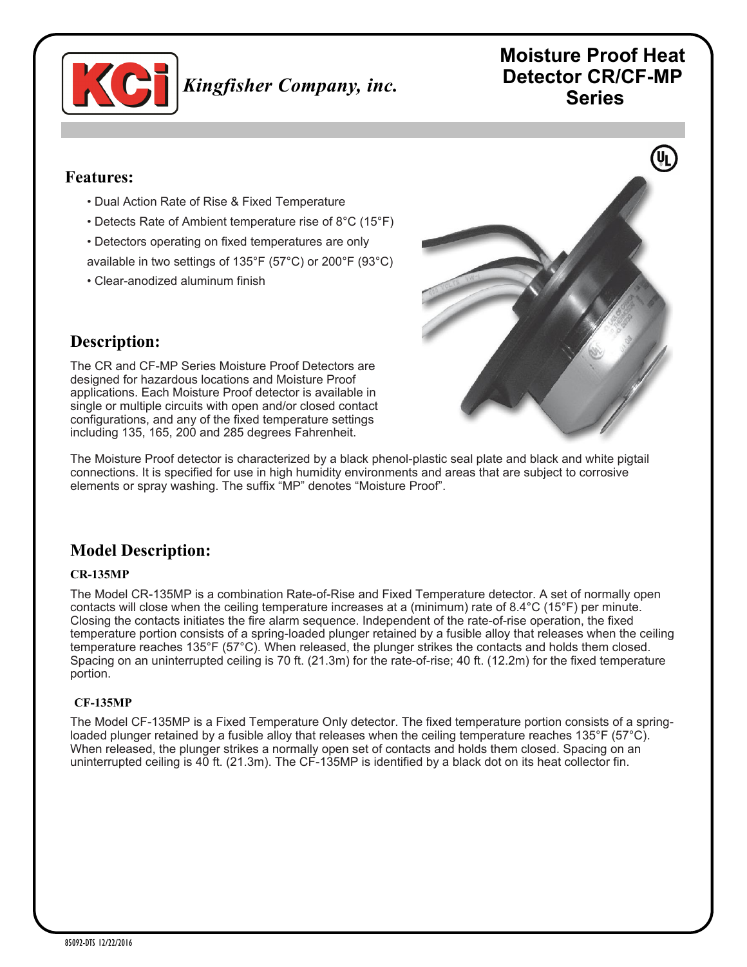

# **Moisture Proof Heat Detector CR/CF-MP Series**

### **Features:**

- Dual Action Rate of Rise & Fixed Temperature
- Detects Rate of Ambient temperature rise of 8°C (15°F)
- Detectors operating on fixed temperatures are only
- available in two settings of 135°F (57°C) or 200°F (93°C)
- Clear-anodized aluminum finish



# **Description:**

The CR and CF-MP Series Moisture Proof Detectors are designed for hazardous locations and Moisture Proof applications. Each Moisture Proof detector is available in single or multiple circuits with open and/or closed contact configurations, and any of the fixed temperature settings including 135, 165, 200 and 285 degrees Fahrenheit.

The Moisture Proof detector is characterized by a black phenol-plastic seal plate and black and white pigtail connections. It is specified for use in high humidity environments and areas that are subject to corrosive elements or spray washing. The suffix "MP" denotes "Moisture Proof".

# **Model Description:**

### **CR-135MP**

The Model CR-135MP is a combination Rate-of-Rise and Fixed Temperature detector. A set of normally open contacts will close when the ceiling temperature increases at a (minimum) rate of 8.4°C (15°F) per minute. Closing the contacts initiates the fire alarm sequence. Independent of the rate-of-rise operation, the fixed temperature portion consists of a spring-loaded plunger retained by a fusible alloy that releases when the ceiling temperature reaches 135°F (57°C). When released, the plunger strikes the contacts and holds them closed. Spacing on an uninterrupted ceiling is 70 ft. (21.3m) for the rate-of-rise; 40 ft. (12.2m) for the fixed temperature portion.

### **CF-135MP**

The Model CF-135MP is a Fixed Temperature Only detector. The fixed temperature portion consists of a springloaded plunger retained by a fusible alloy that releases when the ceiling temperature reaches 135°F (57°C). When released, the plunger strikes a normally open set of contacts and holds them closed. Spacing on an uninterrupted ceiling is 40 ft. (21.3m). The CF-135MP is identified by a black dot on its heat collector fin.